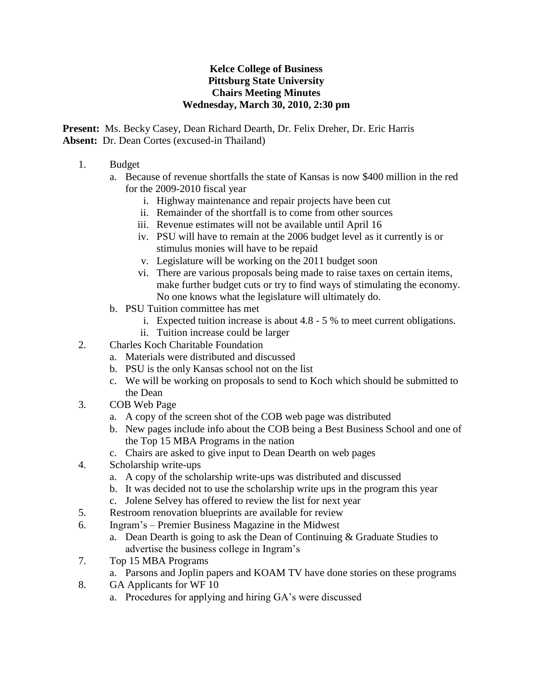## **Kelce College of Business Pittsburg State University Chairs Meeting Minutes Wednesday, March 30, 2010, 2:30 pm**

**Present:** Ms. Becky Casey, Dean Richard Dearth, Dr. Felix Dreher, Dr. Eric Harris **Absent:** Dr. Dean Cortes (excused-in Thailand)

- 1. Budget
	- a. Because of revenue shortfalls the state of Kansas is now \$400 million in the red for the 2009-2010 fiscal year
		- i. Highway maintenance and repair projects have been cut
		- ii. Remainder of the shortfall is to come from other sources
		- iii. Revenue estimates will not be available until April 16
		- iv. PSU will have to remain at the 2006 budget level as it currently is or stimulus monies will have to be repaid
		- v. Legislature will be working on the 2011 budget soon
		- vi. There are various proposals being made to raise taxes on certain items, make further budget cuts or try to find ways of stimulating the economy. No one knows what the legislature will ultimately do.
	- b. PSU Tuition committee has met
		- i. Expected tuition increase is about 4.8 5 % to meet current obligations.
		- ii. Tuition increase could be larger
- 2. Charles Koch Charitable Foundation
	- a. Materials were distributed and discussed
	- b. PSU is the only Kansas school not on the list
	- c. We will be working on proposals to send to Koch which should be submitted to the Dean
- 3. COB Web Page
	- a. A copy of the screen shot of the COB web page was distributed
	- b. New pages include info about the COB being a Best Business School and one of the Top 15 MBA Programs in the nation
	- c. Chairs are asked to give input to Dean Dearth on web pages
- 4. Scholarship write-ups
	- a. A copy of the scholarship write-ups was distributed and discussed
	- b. It was decided not to use the scholarship write ups in the program this year
	- c. Jolene Selvey has offered to review the list for next year
- 5. Restroom renovation blueprints are available for review
- 6. Ingram's Premier Business Magazine in the Midwest
	- a. Dean Dearth is going to ask the Dean of Continuing & Graduate Studies to advertise the business college in Ingram's
- 7. Top 15 MBA Programs
	- a. Parsons and Joplin papers and KOAM TV have done stories on these programs
- 8. GA Applicants for WF 10
	- a. Procedures for applying and hiring GA's were discussed